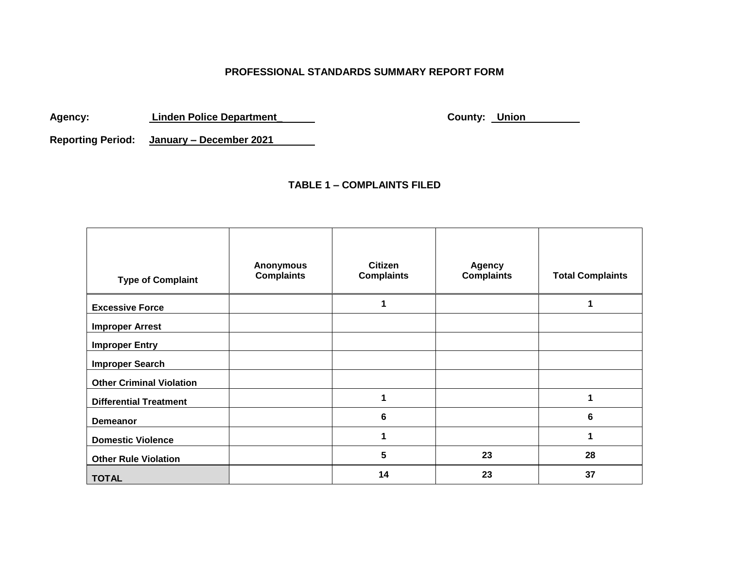## **PROFESSIONAL STANDARDS SUMMARY REPORT FORM**

Agency: Linden Police Department\_ **County: Union** 

**Reporting Period: January – December 2021**

#### **TABLE 1 – COMPLAINTS FILED**

| <b>Type of Complaint</b>        | <b>Anonymous</b><br><b>Complaints</b> | <b>Citizen</b><br><b>Complaints</b> | <b>Agency</b><br><b>Complaints</b> | <b>Total Complaints</b> |
|---------------------------------|---------------------------------------|-------------------------------------|------------------------------------|-------------------------|
| <b>Excessive Force</b>          |                                       |                                     |                                    | 1                       |
| <b>Improper Arrest</b>          |                                       |                                     |                                    |                         |
| <b>Improper Entry</b>           |                                       |                                     |                                    |                         |
| <b>Improper Search</b>          |                                       |                                     |                                    |                         |
| <b>Other Criminal Violation</b> |                                       |                                     |                                    |                         |
| <b>Differential Treatment</b>   |                                       |                                     |                                    | 1                       |
| Demeanor                        |                                       | 6                                   |                                    | 6                       |
| <b>Domestic Violence</b>        |                                       |                                     |                                    | 1                       |
| <b>Other Rule Violation</b>     |                                       | $5\phantom{.0}$                     | 23                                 | 28                      |
| <b>TOTAL</b>                    |                                       | 14                                  | 23                                 | 37                      |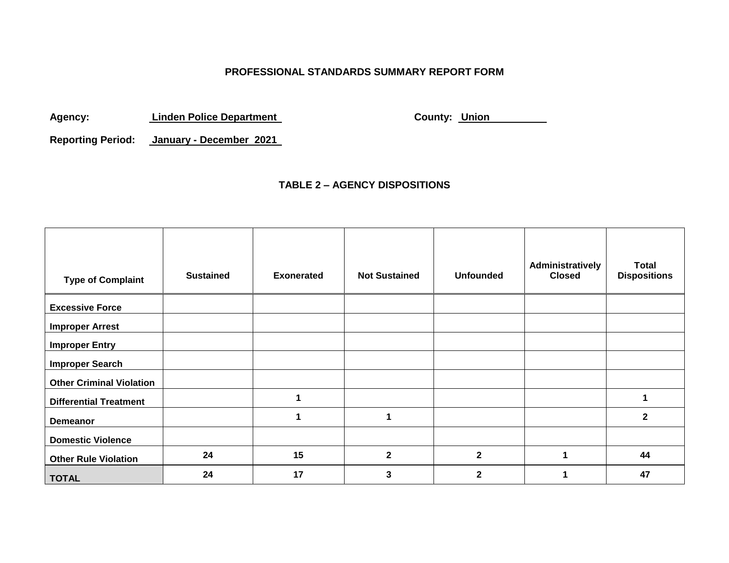## **PROFESSIONAL STANDARDS SUMMARY REPORT FORM**

Agency: Linden Police Department<br> **Agency:** County: Union

**Reporting Period: January - December 2021**

#### **TABLE 2 – AGENCY DISPOSITIONS**

| <b>Type of Complaint</b>        | <b>Sustained</b> | <b>Exonerated</b> | <b>Not Sustained</b> | <b>Unfounded</b> | Administratively<br><b>Closed</b> | <b>Total</b><br><b>Dispositions</b> |
|---------------------------------|------------------|-------------------|----------------------|------------------|-----------------------------------|-------------------------------------|
| <b>Excessive Force</b>          |                  |                   |                      |                  |                                   |                                     |
|                                 |                  |                   |                      |                  |                                   |                                     |
| <b>Improper Arrest</b>          |                  |                   |                      |                  |                                   |                                     |
| <b>Improper Entry</b>           |                  |                   |                      |                  |                                   |                                     |
| <b>Improper Search</b>          |                  |                   |                      |                  |                                   |                                     |
| <b>Other Criminal Violation</b> |                  |                   |                      |                  |                                   |                                     |
| <b>Differential Treatment</b>   |                  |                   |                      |                  |                                   | 1                                   |
| <b>Demeanor</b>                 |                  |                   |                      |                  |                                   | $\mathbf{2}$                        |
| <b>Domestic Violence</b>        |                  |                   |                      |                  |                                   |                                     |
| <b>Other Rule Violation</b>     | 24               | 15                | $\overline{2}$       | $\mathbf{2}$     |                                   | 44                                  |
| <b>TOTAL</b>                    | 24               | 17                | 3                    | $\mathbf 2$      |                                   | 47                                  |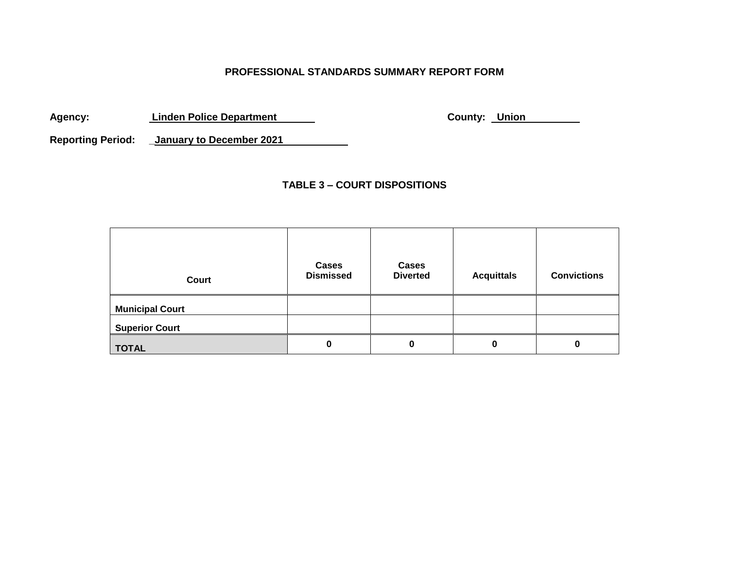## **PROFESSIONAL STANDARDS SUMMARY REPORT FORM**

Agency: **Linden Police Department County: Union 1999** 

**Reporting Period: \_January to December 2021**

## **TABLE 3 – COURT DISPOSITIONS**

| Court                  | <b>Cases</b><br><b>Dismissed</b> | Cases<br><b>Diverted</b> | <b>Acquittals</b> | <b>Convictions</b> |
|------------------------|----------------------------------|--------------------------|-------------------|--------------------|
| <b>Municipal Court</b> |                                  |                          |                   |                    |
| <b>Superior Court</b>  |                                  |                          |                   |                    |
| <b>TOTAL</b>           | 0                                | 0                        | 0                 | 0                  |